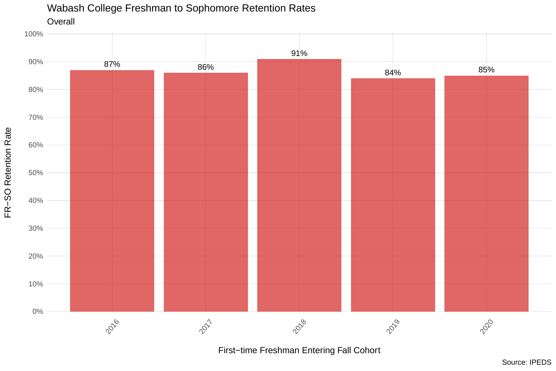

Wabash College Freshman to Sophomore Retention Rates

First−time Freshman Entering Fall Cohort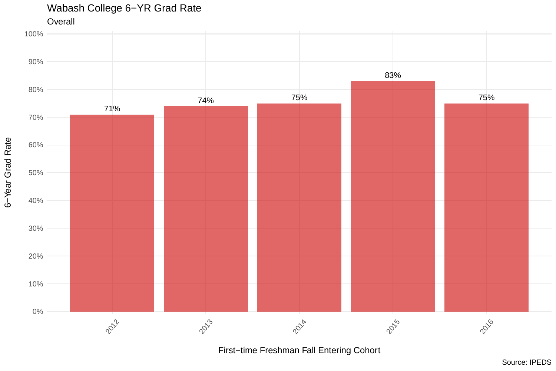

First−time Freshman Fall Entering Cohort

Source: IPEDS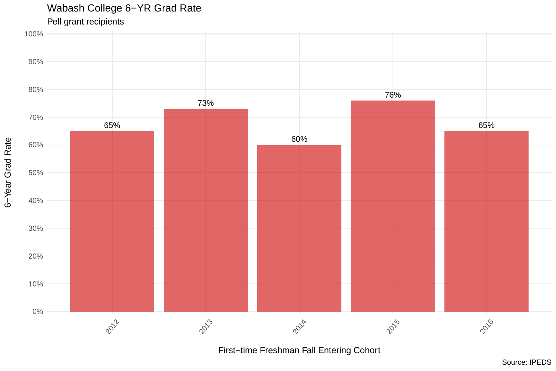

First−time Freshman Fall Entering Cohort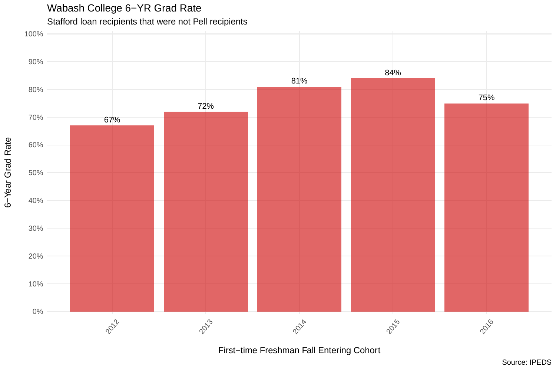6−Year Grad Rate

Stafford loan recipients that were not Pell recipients



First−time Freshman Fall Entering Cohort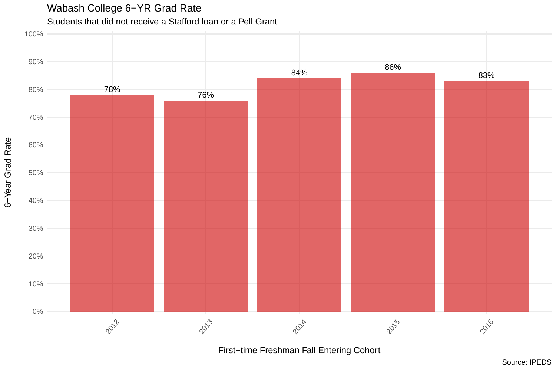

First−time Freshman Fall Entering Cohort

Source: IPEDS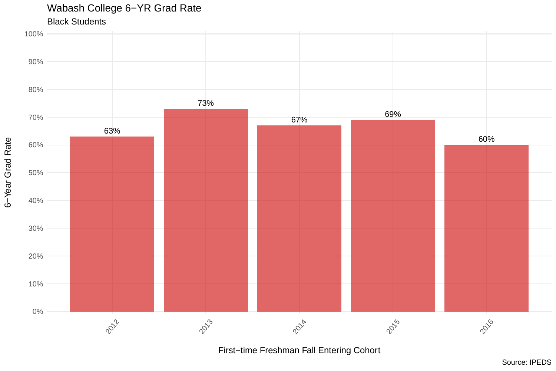

First−time Freshman Fall Entering Cohort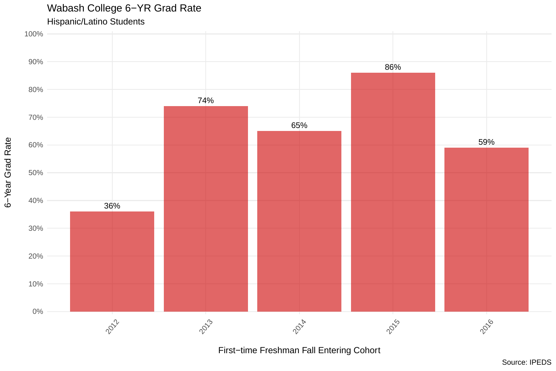

First−time Freshman Fall Entering Cohort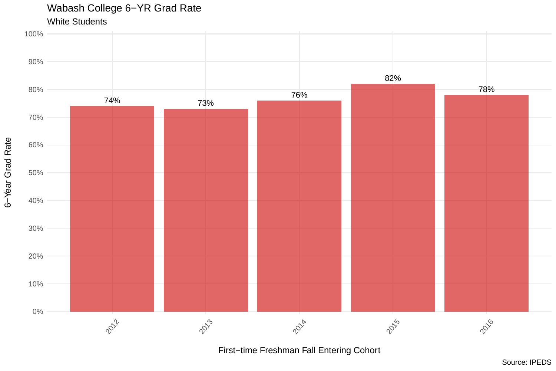

First−time Freshman Fall Entering Cohort

Source: IPEDS